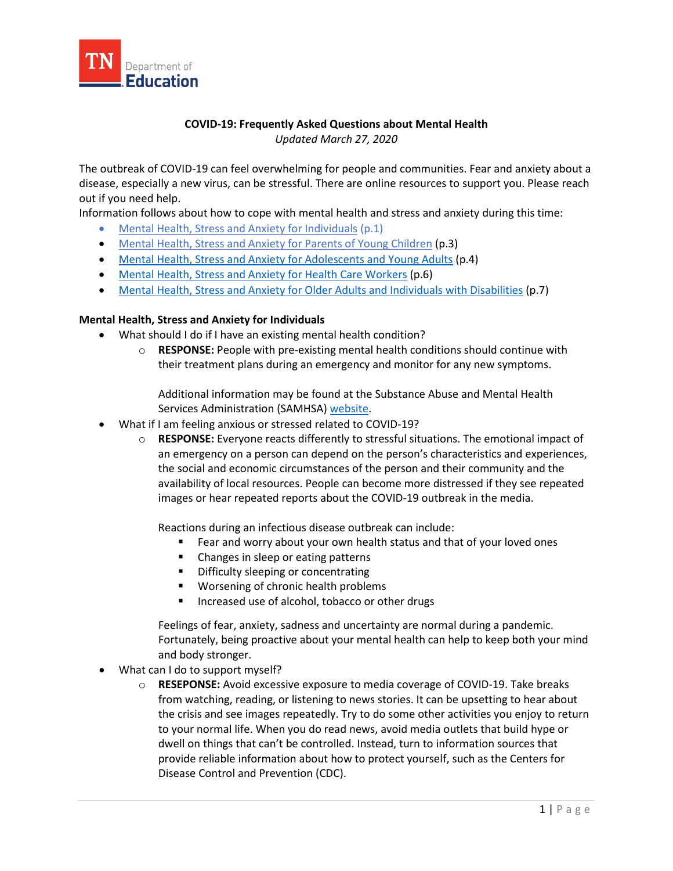

### **COVID-19: Frequently Asked Questions about Mental Health** *Updated March 27, 2020*

The outbreak of COVID-19 can feel overwhelming for people and communities. Fear and anxiety about a disease, especially a new virus, can be stressful. There are online resources to support you. Please reach out if you need help.

Information follows about how to cope with mental health and stress and anxiety during this time:

- [Mental Health, Stress and Anxiety for Individuals](#page-0-0) (p.1)
- [Mental Health, Stress and Anxiety for Parents of Young Children](#page-2-0) (p.3)
- [Mental Health, Stress and Anxiety for Adolescents and Young Adults](#page-4-0) (p.4)
- [Mental Health, Stress and Anxiety for Health Care Workers](#page-5-0) (p.6)
- [Mental Health, Stress and Anxiety for Older Adults and Individuals with Disabilities](#page-7-0) (p.7)

#### **Mental Health, Stress and Anxiety for Individuals**

- What should I do if I have an existing mental health condition?
	- o **RESPONSE:** People with pre-existing mental health conditions should continue with their treatment plans during an emergency and monitor for any new symptoms.

<span id="page-0-0"></span>Additional information may be found at the Substance Abuse and Mental Health Services Administration (SAMHSA) [website.](https://www.samhsa.gov/disaster-preparedness)

- What if I am feeling anxious or stressed related to COVID-19?
	- o **RESPONSE:** Everyone reacts differently to stressful situations. The emotional impact of an emergency on a person can depend on the person's characteristics and experiences, the social and economic circumstances of the person and their community and the availability of local resources. People can become more distressed if they see repeated images or hear repeated reports about the COVID-19 outbreak in the media.

Reactions during an infectious disease outbreak can include:

- Fear and worry about your own health status and that of your loved ones
- Changes in sleep or eating patterns
- **•** Difficulty sleeping or concentrating
- **Worsening of chronic health problems**
- Increased use of alcohol, tobacco or other drugs

Feelings of fear, anxiety, sadness and uncertainty are normal during a pandemic. Fortunately, being proactive about your mental health can help to keep both your mind and body stronger.

- What can I do to support myself?
	- o **RESEPONSE:** Avoid excessive exposure to media coverage of COVID-19. Take breaks from watching, reading, or listening to news stories. It can be upsetting to hear about the crisis and see images repeatedly. Try to do some other activities you enjoy to return to your normal life. When you do read news, avoid media outlets that build hype or dwell on things that can't be controlled. Instead, turn to information sources that provide reliable information about how to protect yourself, such as the Centers for Disease Control and Prevention (CDC).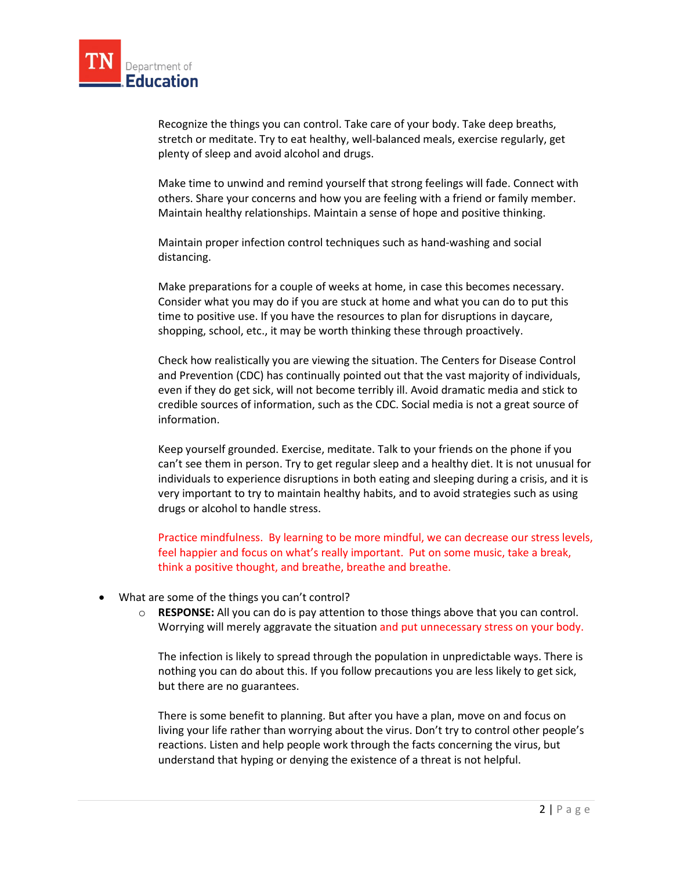

Recognize the things you can control. Take care of your body. Take deep breaths, stretch or meditate. Try to eat healthy, well-balanced meals, exercise regularly, get plenty of sleep and avoid alcohol and drugs.

Make time to unwind and remind yourself that strong feelings will fade. Connect with others. Share your concerns and how you are feeling with a friend or family member. Maintain healthy relationships. Maintain a sense of hope and positive thinking.

Maintain proper infection control techniques such as hand-washing and social distancing.

Make preparations for a couple of weeks at home, in case this becomes necessary. Consider what you may do if you are stuck at home and what you can do to put this time to positive use. If you have the resources to plan for disruptions in daycare, shopping, school, etc., it may be worth thinking these through proactively.

Check how realistically you are viewing the situation. The Centers for Disease Control and Prevention (CDC) has continually pointed out that the vast majority of individuals, even if they do get sick, will not become terribly ill. Avoid dramatic media and stick to credible sources of information, such as the CDC. Social media is not a great source of information.

Keep yourself grounded. Exercise, meditate. Talk to your friends on the phone if you can't see them in person. Try to get regular sleep and a healthy diet. It is not unusual for individuals to experience disruptions in both eating and sleeping during a crisis, and it is very important to try to maintain healthy habits, and to avoid strategies such as using drugs or alcohol to handle stress.

Practice mindfulness. By learning to be more mindful, we can decrease our stress levels, feel happier and focus on what's really important. Put on some music, take a break, think a positive thought, and breathe, breathe and breathe.

- What are some of the things you can't control?
	- o **RESPONSE:** All you can do is pay attention to those things above that you can control. Worrying will merely aggravate the situation and put unnecessary stress on your body.

The infection is likely to spread through the population in unpredictable ways. There is nothing you can do about this. If you follow precautions you are less likely to get sick, but there are no guarantees.

There is some benefit to planning. But after you have a plan, move on and focus on living your life rather than worrying about the virus. Don't try to control other people's reactions. Listen and help people work through the facts concerning the virus, but understand that hyping or denying the existence of a threat is not helpful.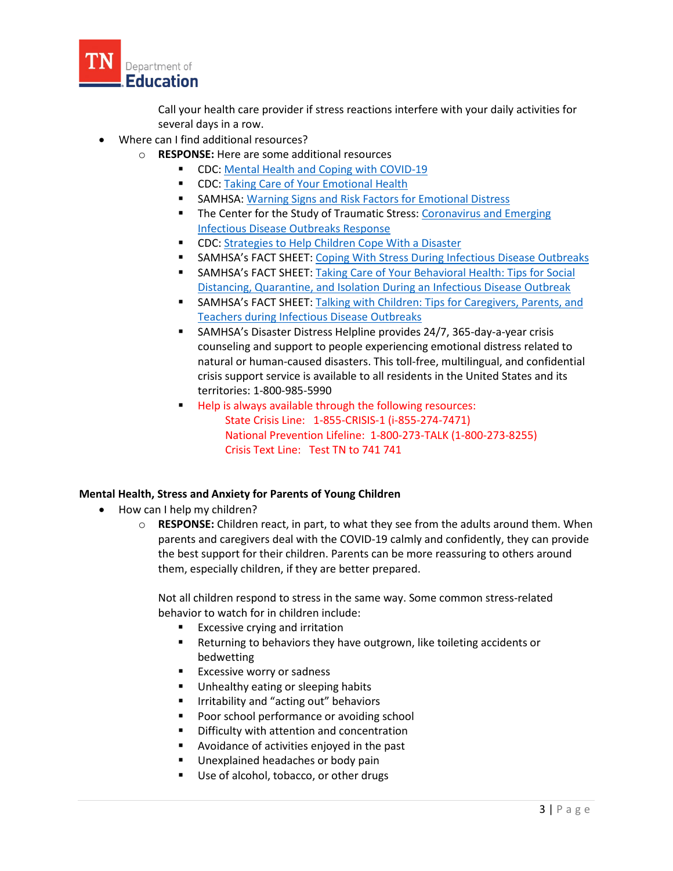

Call your health care provider if stress reactions interfere with your daily activities for several days in a row.

- Where can I find additional resources?
	- o **RESPONSE:** Here are some additional resources
		- **CDC:** Mental Health and Coping with COVID-19
		- **CDC: [Taking Care of Your Emotional Health](https://emergency.cdc.gov/coping/selfcare.asp)**
		- **SAMHSA[: Warning Signs and Risk Factors for Emotional Distress](https://www.samhsa.gov/find-help/disaster-distress-helpline/warning-signs-risk-factors)**
		- The Center for the Study of Traumatic Stress: Coronavirus and Emerging [Infectious Disease Outbreaks Response](https://www.cstsonline.org/resources/resource-master-list/coronavirus-and-emerging-infectious-disease-outbreaks-response)
		- **EXECOC:** [Strategies to Help Children Cope With a Disaster](https://www.cdc.gov/childrenindisasters/helping-children-cope.html)
		- **SAMHSA's FACT SHEET:** [Coping With Stress During Infectious Disease Outbreaks](https://store.samhsa.gov/product/Coping-with-Stress-During-Infectious-Disease-Outbreaks/sma14-4885)
		- **SAMHSA's FACT SHEET:** Taking Care of Your Behavioral Health: Tips for Social [Distancing, Quarantine, and Isolation During an Infectious Disease Outbreak](https://store.samhsa.gov/product/Taking-Care-of-Your-Behavioral-Health-During-an-Infectious-Disease-Outbreak/sma14-4894)
		- SAMHSA's FACT SHEET: [Talking with Children: Tips for Caregivers, Parents, and](https://store.samhsa.gov/product/Talking-With-Children-Tips-for-Caregivers-Parents-and-Teachers-During-Infectious-Disease-Outbreaks/PEP20-01-01-006)  [Teachers during Infectious Disease Outbreaks](https://store.samhsa.gov/product/Talking-With-Children-Tips-for-Caregivers-Parents-and-Teachers-During-Infectious-Disease-Outbreaks/PEP20-01-01-006)
		- SAMHSA's Disaster Distress Helpline provides 24/7, 365-day-a-year crisis counseling and support to people experiencing emotional distress related to natural or human-caused disasters. This toll-free, multilingual, and confidential crisis support service is available to all residents in the United States and its territories: 1-800-985-5990
		- **Help is always available through the following resources:**  State Crisis Line: 1-855-CRISIS-1 (i-855-274-7471) National Prevention Lifeline: 1-800-273-TALK (1-800-273-8255) Crisis Text Line: Test TN to 741 741

#### **Mental Health, Stress and Anxiety for Parents of Young Children**

- How can I help my children?
	- o **RESPONSE:** Children react, in part, to what they see from the adults around them. When parents and caregivers deal with the COVID-19 calmly and confidently, they can provide the best support for their children. Parents can be more reassuring to others around them, especially children, if they are better prepared.

<span id="page-2-0"></span>Not all children respond to stress in the same way. Some common stress-related behavior to watch for in children include:

- Excessive crying and irritation
- **Returning to behaviors they have outgrown, like toileting accidents or** bedwetting
- **Excessive worry or sadness**
- **Unhealthy eating or sleeping habits**
- **IF Indial Tritability and "acting out" behaviors**
- **Poor school performance or avoiding school**
- **•** Difficulty with attention and concentration
- Avoidance of activities enjoyed in the past
- **Unexplained headaches or body pain**
- Use of alcohol, tobacco, or other drugs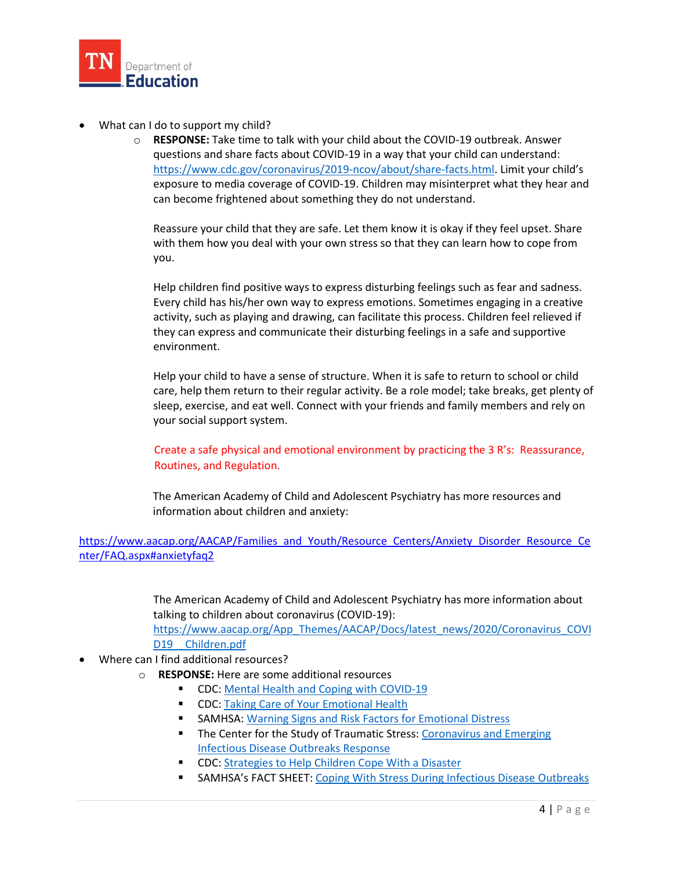

- What can I do to support my child?
	- o **RESPONSE:** Take time to talk with your child about the COVID-19 outbreak. Answer questions and share facts about COVID-19 in a way that your child can understand: [https://www.cdc.gov/coronavirus/2019-ncov/about/share-facts.html.](https://www.cdc.gov/coronavirus/2019-ncov/about/share-facts.html) Limit your child's exposure to media coverage of COVID-19. Children may misinterpret what they hear and can become frightened about something they do not understand.

Reassure your child that they are safe. Let them know it is okay if they feel upset. Share with them how you deal with your own stress so that they can learn how to cope from you.

Help children find positive ways to express disturbing feelings such as fear and sadness. Every child has his/her own way to express emotions. Sometimes engaging in a creative activity, such as playing and drawing, can facilitate this process. Children feel relieved if they can express and communicate their disturbing feelings in a safe and supportive environment.

Help your child to have a sense of structure. When it is safe to return to school or child care, help them return to their regular activity. Be a role model; take breaks, get plenty of sleep, exercise, and eat well. Connect with your friends and family members and rely on your social support system.

 Create a safe physical and emotional environment by practicing the 3 R's: Reassurance, Routines, and Regulation.

 The American Academy of Child and Adolescent Psychiatry has more resources and information about children and anxiety:

[https://www.aacap.org/AACAP/Families\\_and\\_Youth/Resource\\_Centers/Anxiety\\_Disorder\\_Resource\\_Ce](https://www.aacap.org/AACAP/Families_and_Youth/Resource_Centers/Anxiety_Disorder_Resource_Center/FAQ.aspx#anxietyfaq2) [nter/FAQ.aspx#anxietyfaq2](https://www.aacap.org/AACAP/Families_and_Youth/Resource_Centers/Anxiety_Disorder_Resource_Center/FAQ.aspx#anxietyfaq2)

> The American Academy of Child and Adolescent Psychiatry has more information about talking to children about coronavirus (COVID-19):

[https://www.aacap.org/App\\_Themes/AACAP/Docs/latest\\_news/2020/Coronavirus\\_COVI](https://www.aacap.org/App_Themes/AACAP/Docs/latest_news/2020/Coronavirus_COVID19__Children.pdf) D19 Children.pdf

- Where can I find additional resources?
	- o **RESPONSE:** Here are some additional resources
		- CDC: Mental Health and Coping with COVID-19
		- **CDC:** [Taking Care of Your Emotional Health](https://emergency.cdc.gov/coping/selfcare.asp)
		- **SAMHSA[: Warning Signs and Risk Factors](https://www.samhsa.gov/find-help/disaster-distress-helpline/warning-signs-risk-factors) for Emotional Distress**
		- **The Center for the Study of Traumatic Stress: Coronavirus and Emerging** [Infectious Disease Outbreaks Response](https://www.cstsonline.org/resources/resource-master-list/coronavirus-and-emerging-infectious-disease-outbreaks-response)
		- **CDC:** [Strategies to Help Children Cope With a Disaster](https://www.cdc.gov/childrenindisasters/helping-children-cope.html)
		- **SAMHSA's FACT SHEET: [Coping With Stress During Infectious Disease Outbreaks](https://store.samhsa.gov/product/Coping-with-Stress-During-Infectious-Disease-Outbreaks/sma14-4885)**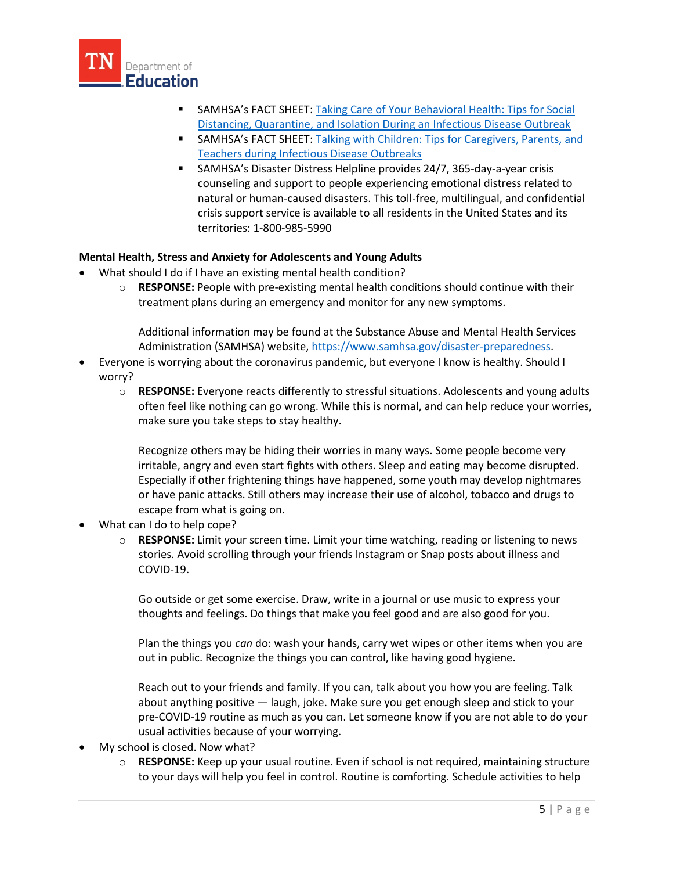

- SAMHSA's FACT SHEET: [Taking Care of Your Behavioral Health: Tips for Social](https://store.samhsa.gov/product/Taking-Care-of-Your-Behavioral-Health-During-an-Infectious-Disease-Outbreak/sma14-4894)  [Distancing, Quarantine, and Isolation During an Infectious Disease Outbreak](https://store.samhsa.gov/product/Taking-Care-of-Your-Behavioral-Health-During-an-Infectious-Disease-Outbreak/sma14-4894)
- SAMHSA's FACT SHEET: [Talking with Children: Tips for Caregivers, Parents, and](https://store.samhsa.gov/product/Talking-With-Children-Tips-for-Caregivers-Parents-and-Teachers-During-Infectious-Disease-Outbreaks/PEP20-01-01-006)  [Teachers during Infectious Disease Outbreaks](https://store.samhsa.gov/product/Talking-With-Children-Tips-for-Caregivers-Parents-and-Teachers-During-Infectious-Disease-Outbreaks/PEP20-01-01-006)
- <span id="page-4-0"></span> SAMHSA's Disaster Distress Helpline provides 24/7, 365-day-a-year crisis counseling and support to people experiencing emotional distress related to natural or human-caused disasters. This toll-free, multilingual, and confidential crisis support service is available to all residents in the United States and its territories: 1-800-985-5990

# **Mental Health, Stress and Anxiety for Adolescents and Young Adults**

- What should I do if I have an existing mental health condition?
	- o **RESPONSE:** People with pre-existing mental health conditions should continue with their treatment plans during an emergency and monitor for any new symptoms.

Additional information may be found at the Substance Abuse and Mental Health Services Administration (SAMHSA) website[, https://www.samhsa.gov/disaster-preparedness.](https://www.samhsa.gov/disaster-preparedness)

- Everyone is worrying about the coronavirus pandemic, but everyone I know is healthy. Should I worry?
	- o **RESPONSE:** Everyone reacts differently to stressful situations. Adolescents and young adults often feel like nothing can go wrong. While this is normal, and can help reduce your worries, make sure you take steps to stay healthy.

Recognize others may be hiding their worries in many ways. Some people become very irritable, angry and even start fights with others. Sleep and eating may become disrupted. Especially if other frightening things have happened, some youth may develop nightmares or have panic attacks. Still others may increase their use of alcohol, tobacco and drugs to escape from what is going on.

- What can I do to help cope?
	- o **RESPONSE:** Limit your screen time. Limit your time watching, reading or listening to news stories. Avoid scrolling through your friends Instagram or Snap posts about illness and COVID-19.

Go outside or get some exercise. Draw, write in a journal or use music to express your thoughts and feelings. Do things that make you feel good and are also good for you.

Plan the things you *can* do: wash your hands, carry wet wipes or other items when you are out in public. Recognize the things you can control, like having good hygiene.

Reach out to your friends and family. If you can, talk about you how you are feeling. Talk about anything positive — laugh, joke. Make sure you get enough sleep and stick to your pre-COVID-19 routine as much as you can. Let someone know if you are not able to do your usual activities because of your worrying.

- My school is closed. Now what?
	- o **RESPONSE:** Keep up your usual routine. Even if school is not required, maintaining structure to your days will help you feel in control. Routine is comforting. Schedule activities to help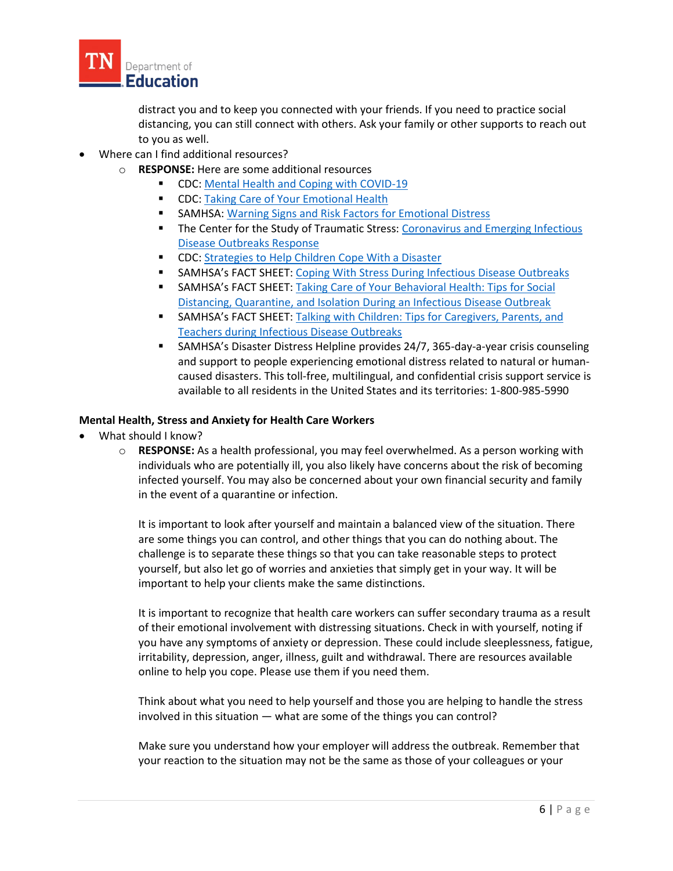

distract you and to keep you connected with your friends. If you need to practice social distancing, you can still connect with others. Ask your family or other supports to reach out to you as well.

- Where can I find additional resources?
	- o **RESPONSE:** Here are some additional resources
		- **CDC:** Mental Health and Coping with COVID-19
		- **CDC:** Taking Care of Your Emotional Health
		- **SAMHSA: Warning [Signs and Risk Factors for Emotional Distress](https://www.samhsa.gov/find-help/disaster-distress-helpline/warning-signs-risk-factors)**
		- The Center for the Study of Traumatic Stress: Coronavirus and Emerging Infectious [Disease Outbreaks Response](https://www.cstsonline.org/resources/resource-master-list/coronavirus-and-emerging-infectious-disease-outbreaks-response)
		- CDC: Strategies to Help Children Cope With a Disaster
		- **SAMHSA's FACT SHEET: Coping With Stress During Infectious Disease Outbreaks**
		- **SAMHSA's FACT SHEET: Taking Care of Your Behavioral Health: Tips for Social** [Distancing, Quarantine, and Isolation During an Infectious Disease Outbreak](https://store.samhsa.gov/product/Taking-Care-of-Your-Behavioral-Health-During-an-Infectious-Disease-Outbreak/sma14-4894)
		- **SAMHSA's FACT SHEET:** Talking with Children: Tips for Caregivers, Parents, and [Teachers during Infectious Disease Outbreaks](https://store.samhsa.gov/product/Talking-With-Children-Tips-for-Caregivers-Parents-and-Teachers-During-Infectious-Disease-Outbreaks/PEP20-01-01-006)
		- SAMHSA's Disaster Distress Helpline provides 24/7, 365-day-a-year crisis counseling and support to people experiencing emotional distress related to natural or humancaused disasters. This toll-free, multilingual, and confidential crisis support service is available to all residents in the United States and its territories: 1-800-985-5990

### **Mental Health, Stress and Anxiety for Health Care Workers**

- What should I know?
	- o **RESPONSE:** As a health professional, you may feel overwhelmed. As a person working with individuals who are potentially ill, you also likely have concerns about the risk of becoming infected yourself. You may also be concerned about your own financial security and family in the event of a quarantine or infection.

<span id="page-5-0"></span>It is important to look after yourself and maintain a balanced view of the situation. There are some things you can control, and other things that you can do nothing about. The challenge is to separate these things so that you can take reasonable steps to protect yourself, but also let go of worries and anxieties that simply get in your way. It will be important to help your clients make the same distinctions.

It is important to recognize that health care workers can suffer secondary trauma as a result of their emotional involvement with distressing situations. Check in with yourself, noting if you have any symptoms of anxiety or depression. These could include sleeplessness, fatigue, irritability, depression, anger, illness, guilt and withdrawal. There are resources available online to help you cope. Please use them if you need them.

Think about what you need to help yourself and those you are helping to handle the stress involved in this situation — what are some of the things you can control?

Make sure you understand how your employer will address the outbreak. Remember that your reaction to the situation may not be the same as those of your colleagues or your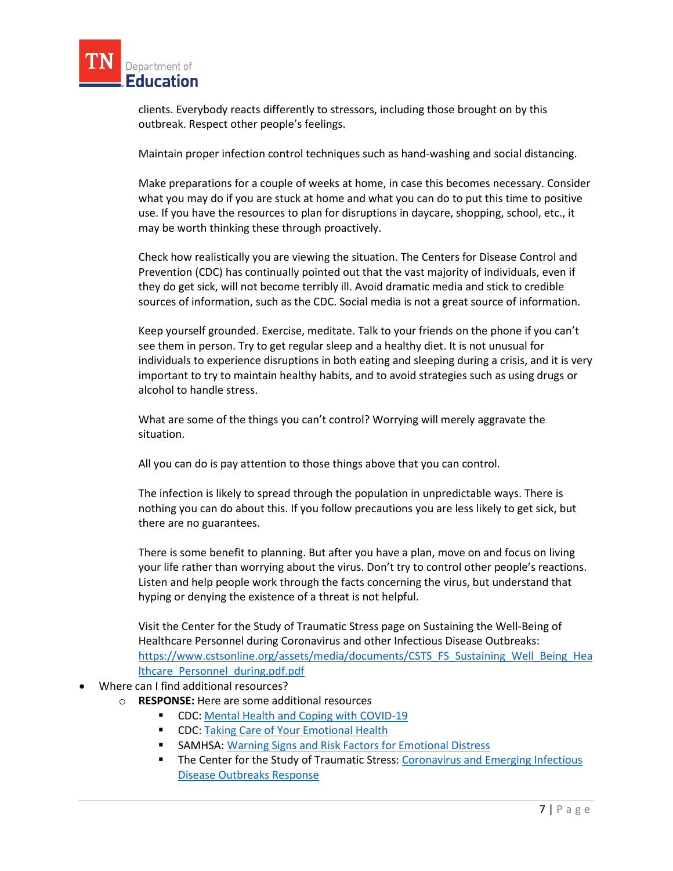

clients. Everybody reacts differently to stressors, including those brought on by this outbreak. Respect other people's feelings.

Maintain proper infection control techniques such as hand-washing and social distancing.

Make preparations for a couple of weeks at home, in case this becomes necessary. Consider what you may do if you are stuck at home and what you can do to put this time to positive use. If you have the resources to plan for disruptions in daycare, shopping, school, etc., it may be worth thinking these through proactively.

Check how realistically you are viewing the situation. The Centers for Disease Control and Prevention (CDC) has continually pointed out that the vast majority of individuals, even if they do get sick, will not become terribly ill. Avoid dramatic media and stick to credible sources of information, such as the CDC. Social media is not a great source of information.

Keep yourself grounded. Exercise, meditate. Talk to your friends on the phone if you can't see them in person. Try to get regular sleep and a healthy diet. It is not unusual for individuals to experience disruptions in both eating and sleeping during a crisis, and it is very important to try to maintain healthy habits, and to avoid strategies such as using drugs or alcohol to handle stress.

What are some of the things you can't control? Worrying will merely aggravate the situation.

All you can do is pay attention to those things above that you can control.

The infection is likely to spread through the population in unpredictable ways. There is nothing you can do about this. If you follow precautions you are less likely to get sick, but there are no guarantees.

There is some benefit to planning. But after you have a plan, move on and focus on living your life rather than worrying about the virus. Don't try to control other people's reactions. Listen and help people work through the facts concerning the virus, but understand that hyping or denying the existence of a threat is not helpful.

Visit the Center for the Study of Traumatic Stress page on Sustaining the Well-Being of Healthcare Personnel during Coronavirus and other Infectious Disease Outbreaks: [https://www.cstsonline.org/assets/media/documents/CSTS\\_FS\\_Sustaining\\_Well\\_Being\\_Hea](https://www.cstsonline.org/assets/media/documents/CSTS_FS_Sustaining_Well_Being_Healthcare_Personnel_during.pdf.pdf) [lthcare\\_Personnel\\_during.pdf.pdf](https://www.cstsonline.org/assets/media/documents/CSTS_FS_Sustaining_Well_Being_Healthcare_Personnel_during.pdf.pdf)

- Where can I find additional resources?
	- o **RESPONSE:** Here are some additional resources
		- **CDC:** Mental Health and Coping with COVID-19
		- **CDC: [Taking Care of Your Emotional Health](https://emergency.cdc.gov/coping/selfcare.asp)**
		- SAMHSA[: Warning Signs and Risk Factors for Emotional Distress](https://www.samhsa.gov/find-help/disaster-distress-helpline/warning-signs-risk-factors)
		- **The Center for the Study of Traumatic Stress: Coronavirus and Emerging Infectious** [Disease Outbreaks Response](https://www.cstsonline.org/resources/resource-master-list/coronavirus-and-emerging-infectious-disease-outbreaks-response)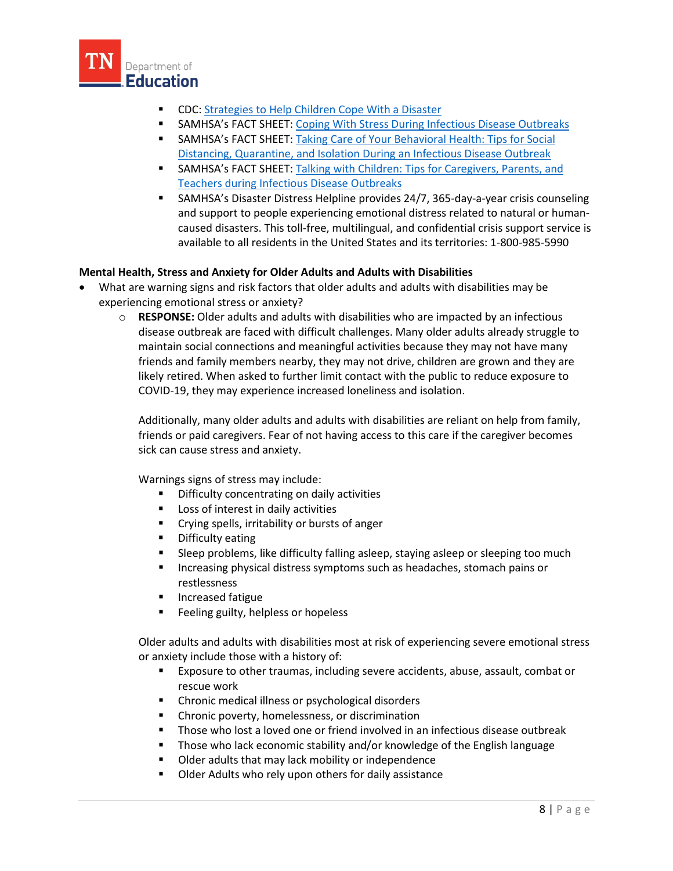

- CDC: [Strategies to Help Children Cope With a Disaster](https://www.cdc.gov/childrenindisasters/helping-children-cope.html)
- **SAMHSA's FACT SHEET:** [Coping With Stress During Infectious Disease Outbreaks](https://store.samhsa.gov/product/Coping-with-Stress-During-Infectious-Disease-Outbreaks/sma14-4885)
- **SAMHSA's FACT SHEET: Taking Care of Your Behavioral Health: Tips for Social** [Distancing, Quarantine, and Isolation During an Infectious Disease Outbreak](https://store.samhsa.gov/product/Taking-Care-of-Your-Behavioral-Health-During-an-Infectious-Disease-Outbreak/sma14-4894)
- SAMHSA's FACT SHEET: [Talking with Children: Tips for Caregivers, Parents, and](https://store.samhsa.gov/product/Talking-With-Children-Tips-for-Caregivers-Parents-and-Teachers-During-Infectious-Disease-Outbreaks/PEP20-01-01-006)  [Teachers during Infectious Disease Outbreaks](https://store.samhsa.gov/product/Talking-With-Children-Tips-for-Caregivers-Parents-and-Teachers-During-Infectious-Disease-Outbreaks/PEP20-01-01-006)
- <span id="page-7-0"></span> SAMHSA's Disaster Distress Helpline provides 24/7, 365-day-a-year crisis counseling and support to people experiencing emotional distress related to natural or humancaused disasters. This toll-free, multilingual, and confidential crisis support service is available to all residents in the United States and its territories: 1-800-985-5990

# **Mental Health, Stress and Anxiety for Older Adults and Adults with Disabilities**

- What are warning signs and risk factors that older adults and adults with disabilities may be experiencing emotional stress or anxiety?
	- o **RESPONSE:** Older adults and adults with disabilities who are impacted by an infectious disease outbreak are faced with difficult challenges. Many older adults already struggle to maintain social connections and meaningful activities because they may not have many friends and family members nearby, they may not drive, children are grown and they are likely retired. When asked to further limit contact with the public to reduce exposure to COVID-19, they may experience increased loneliness and isolation.

Additionally, many older adults and adults with disabilities are reliant on help from family, friends or paid caregivers. Fear of not having access to this care if the caregiver becomes sick can cause stress and anxiety.

Warnings signs of stress may include:

- **•** Difficulty concentrating on daily activities
- **Loss of interest in daily activities**
- **EXP** Crying spells, irritability or bursts of anger
- **•** Difficulty eating
- Sleep problems, like difficulty falling asleep, staying asleep or sleeping too much
- **Increasing physical distress symptoms such as headaches, stomach pains or** restlessness
- **Increased fatigue**
- **Feeling guilty, helpless or hopeless**

Older adults and adults with disabilities most at risk of experiencing severe emotional stress or anxiety include those with a history of:

- Exposure to other traumas, including severe accidents, abuse, assault, combat or rescue work
- **EXEC** Chronic medical illness or psychological disorders
- **EXEC** Chronic poverty, homelessness, or discrimination
- **Those who lost a loved one or friend involved in an infectious disease outbreak**
- Those who lack economic stability and/or knowledge of the English language
- **Dider adults that may lack mobility or independence**
- **Dider Adults who rely upon others for daily assistance**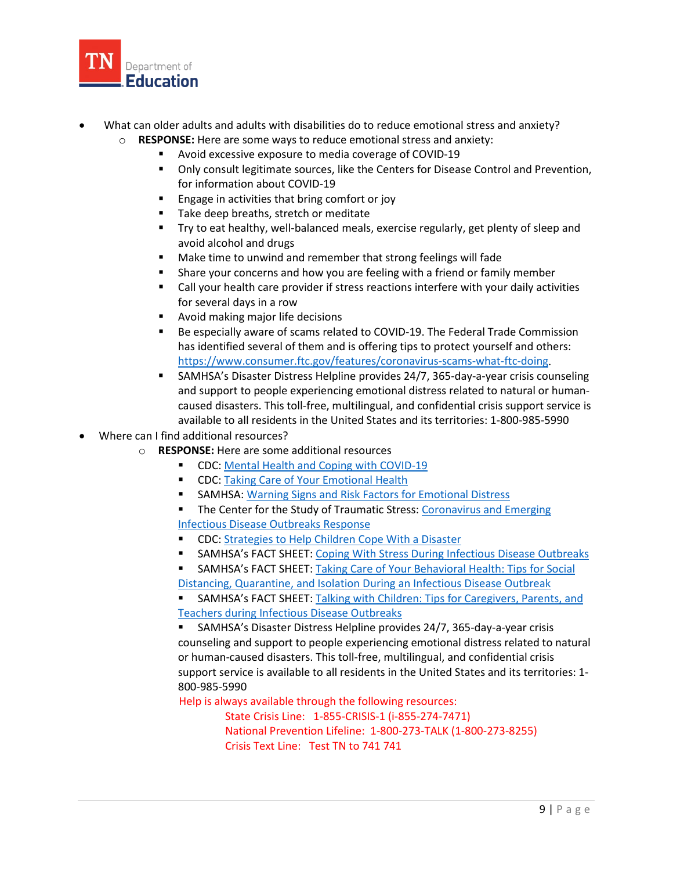

- What can older adults and adults with disabilities do to reduce emotional stress and anxiety?
	- o **RESPONSE:** Here are some ways to reduce emotional stress and anxiety:
		- Avoid excessive exposure to media coverage of COVID-19
		- Only consult legitimate sources, like the Centers for Disease Control and Prevention, for information about COVID-19
		- **Engage in activities that bring comfort or joy**
		- Take deep breaths, stretch or meditate
		- **Try to eat healthy, well-balanced meals, exercise regularly, get plenty of sleep and** avoid alcohol and drugs
		- Make time to unwind and remember that strong feelings will fade
		- **Share your concerns and how you are feeling with a friend or family member**
		- Call your health care provider if stress reactions interfere with your daily activities for several days in a row
		- **EXEC** Avoid making major life decisions
		- Be especially aware of scams related to COVID-19. The Federal Trade Commission has identified several of them and is offering tips to protect yourself and others: [https://www.consumer.ftc.gov/features/coronavirus-scams-what-ftc-doing.](https://www.consumer.ftc.gov/features/coronavirus-scams-what-ftc-doing)
		- SAMHSA's Disaster Distress Helpline provides 24/7, 365-day-a-year crisis counseling and support to people experiencing emotional distress related to natural or humancaused disasters. This toll-free, multilingual, and confidential crisis support service is available to all residents in the United States and its territories: 1-800-985-5990
- Where can I find additional resources?
	- o **RESPONSE:** Here are some additional resources
		- **CDC:** Mental Health and Coping with COVID-19
		- **CDC: [Taking Care of Your Emotional Health](https://emergency.cdc.gov/coping/selfcare.asp)**
		- **SAMHSA[: Warning Signs and Risk Factors for Emotional Distress](https://www.samhsa.gov/find-help/disaster-distress-helpline/warning-signs-risk-factors)**
		- **The Center for the Study of Traumatic Stress: Coronavirus and Emerging** [Infectious Disease Outbreaks Response](https://www.cstsonline.org/resources/resource-master-list/coronavirus-and-emerging-infectious-disease-outbreaks-response)
		- **CDC:** [Strategies to Help Children Cope With a Disaster](https://www.cdc.gov/childrenindisasters/helping-children-cope.html)
		- **SAMHSA's FACT SHEET: [Coping With Stress During Infectious Disease Outbreaks](https://store.samhsa.gov/product/Coping-with-Stress-During-Infectious-Disease-Outbreaks/sma14-4885)**
		- **SAMHSA's FACT SHEET: Taking Care of Your Behavioral Health: Tips for Social**
		- [Distancing, Quarantine, and Isolation During an Infectious Disease Outbreak](https://store.samhsa.gov/product/Taking-Care-of-Your-Behavioral-Health-During-an-Infectious-Disease-Outbreak/sma14-4894)
		- SAMHSA's FACT SHEET: [Talking with Children: Tips for Caregivers, Parents, and](https://store.samhsa.gov/product/Talking-With-Children-Tips-for-Caregivers-Parents-and-Teachers-During-Infectious-Disease-Outbreaks/PEP20-01-01-006)  [Teachers during Infectious Disease Outbreaks](https://store.samhsa.gov/product/Talking-With-Children-Tips-for-Caregivers-Parents-and-Teachers-During-Infectious-Disease-Outbreaks/PEP20-01-01-006)

 SAMHSA's Disaster Distress Helpline provides 24/7, 365-day-a-year crisis counseling and support to people experiencing emotional distress related to natural or human-caused disasters. This toll-free, multilingual, and confidential crisis support service is available to all residents in the United States and its territories: 1- 800-985-5990

Help is always available through the following resources:

 State Crisis Line: 1-855-CRISIS-1 (i-855-274-7471) National Prevention Lifeline: 1-800-273-TALK (1-800-273-8255) Crisis Text Line: Test TN to 741 741